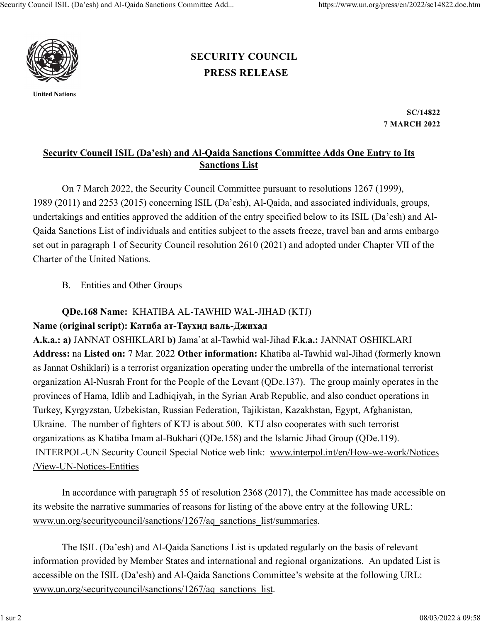

United Nations

## PRESS RELEASE SECURITY COUNCIL

SC/14822 7 MARCH 2022

## Security Council ISIL (Da'esh) and Al-Qaida Sanctions Committee Adds One Entry to Its Sanctions List

On 7 March 2022, the Security Council Committee pursuant to resolutions 1267 (1999), 1989 (2011) and 2253 (2015) concerning ISIL (Da'esh), Al-Qaida, and associated individuals, groups, undertakings and entities approved the addition of the entry specified below to its ISIL (Da'esh) and Al-Qaida Sanctions List of individuals and entities subject to the assets freeze, travel ban and arms embargo set out in paragraph 1 of Security Council resolution 2610 (2021) and adopted under Chapter VII of the Charter of the United Nations.

## B. Entities and Other Groups

## QDe.168 Name: KHATIBA AL-TAWHID WAL-JIHAD (KTJ) Name (original script): Катиба ат-Таухид валь-Джихад

A.k.a.: a) JANNAT OSHIKLARI b) Jama`at al-Tawhid wal-Jihad F.k.a.: JANNAT OSHIKLARI Address: na Listed on: 7 Mar. 2022 Other information: Khatiba al-Tawhid wal-Jihad (formerly known as Jannat Oshiklari) is a terrorist organization operating under the umbrella of the international terrorist organization Al-Nusrah Front for the People of the Levant (QDe.137). The group mainly operates in the provinces of Hama, Idlib and Ladhiqiyah, in the Syrian Arab Republic, and also conduct operations in Turkey, Kyrgyzstan, Uzbekistan, Russian Federation, Tajikistan, Kazakhstan, Egypt, Afghanistan, Ukraine. The number of fighters of KTJ is about 500. KTJ also cooperates with such terrorist organizations as Khatiba Imam al-Bukhari (QDe.158) and the Islamic Jihad Group (QDe.119). INTERPOL-UN Security Council Special Notice web link: www.interpol.int/en/How-we-work/Notices /View-UN-Notices-Entities

In accordance with paragraph 55 of resolution 2368 (2017), the Committee has made accessible on its website the narrative summaries of reasons for listing of the above entry at the following URL: www.un.org/securitycouncil/sanctions/1267/aq\_sanctions\_list/summaries.

The ISIL (Da'esh) and Al-Qaida Sanctions List is updated regularly on the basis of relevant information provided by Member States and international and regional organizations. An updated List is accessible on the ISIL (Da'esh) and Al-Qaida Sanctions Committee's website at the following URL: www.un.org/securitycouncil/sanctions/1267/aq\_sanctions\_list.